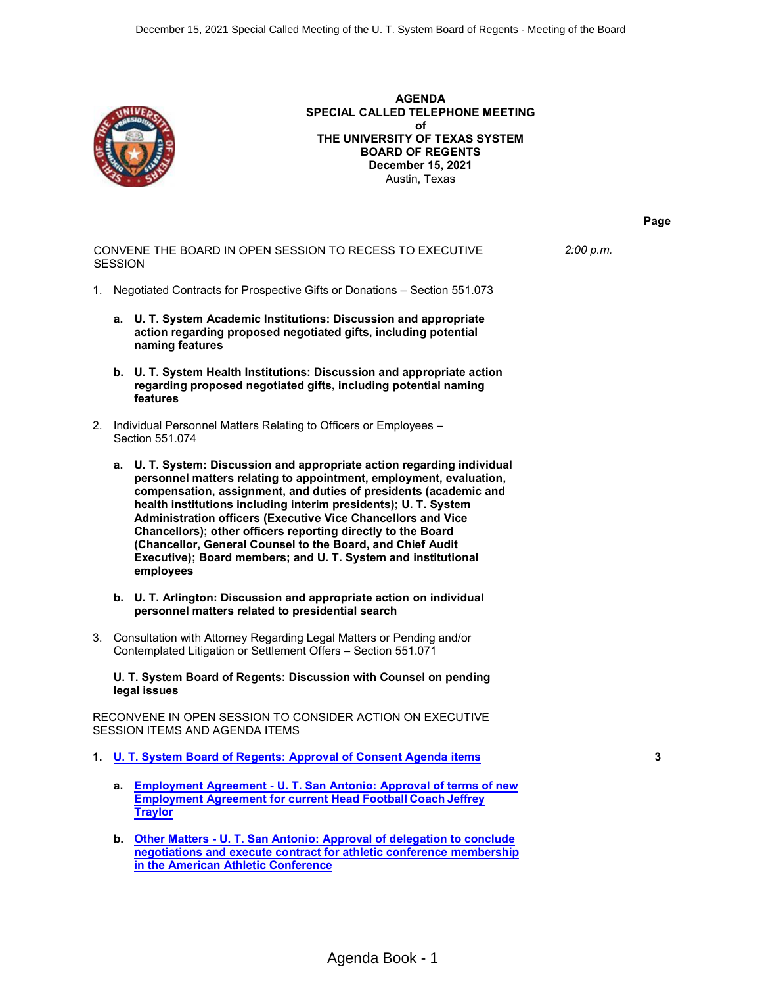

**AGENDA SPECIAL CALLED TELEPHONE MEETING of THE UNIVERSITY OF TEXAS SYSTEM BOARD OF REGENTS December 15, 2021** Austin, Texas

CONVENE THE BOARD IN OPEN SESSION TO RECESS TO EXECUTIVE **SESSION** *2:00 p.m.*

- 1. Negotiated Contracts for Prospective Gifts or Donations Section 551.073
	- **a. U. T. System Academic Institutions: Discussion and appropriate action regarding proposed negotiated gifts, including potential naming features**
	- **b. U. T. System Health Institutions: Discussion and appropriate action regarding proposed negotiated gifts, including potential naming features**
- 2. Individual Personnel Matters Relating to Officers or Employees Section 551.074
	- **a. U. T. System: Discussion and appropriate action regarding individual personnel matters relating to appointment, employment, evaluation, compensation, assignment, and duties of presidents (academic and health institutions including interim presidents); U. T. System Administration officers (Executive Vice Chancellors and Vice Chancellors); other officers reporting directly to the Board (Chancellor, General Counsel to the Board, and Chief Audit Executive); Board members; and U. T. System and institutional employees**
	- **b. U. T. Arlington: Discussion and appropriate action on individual personnel matters related to presidential search**
- 3. Consultation with Attorney Regarding Legal Matters or Pending and/or Contemplated Litigation or Settlement Offers – Section 551.071

**U. T. System Board of Regents: Discussion with Counsel on pending legal issues**

RECONVENE IN OPEN SESSION TO CONSIDER ACTION ON EXECUTIVE SESSION ITEMS AND AGENDA ITEMS

- **1. [U. T. System Board of Regents: Approval of Consent Agenda items](#page-2-0) 3**
	- **a. Employment Agreement - [U. T. San Antonio: Approval of terms of new](#page-4-0) [Employment Agreement for current Head Football Coach Jeffrey](#page-4-0) [Traylor](#page-4-0)**
	- **b. Other Matters - [U. T. San Antonio: Approval of delegation to conclude](#page-8-0) [negotiations and execute contract for athletic conference membership](#page-8-0) [in the American Athletic Conference](#page-8-0)**

**Page**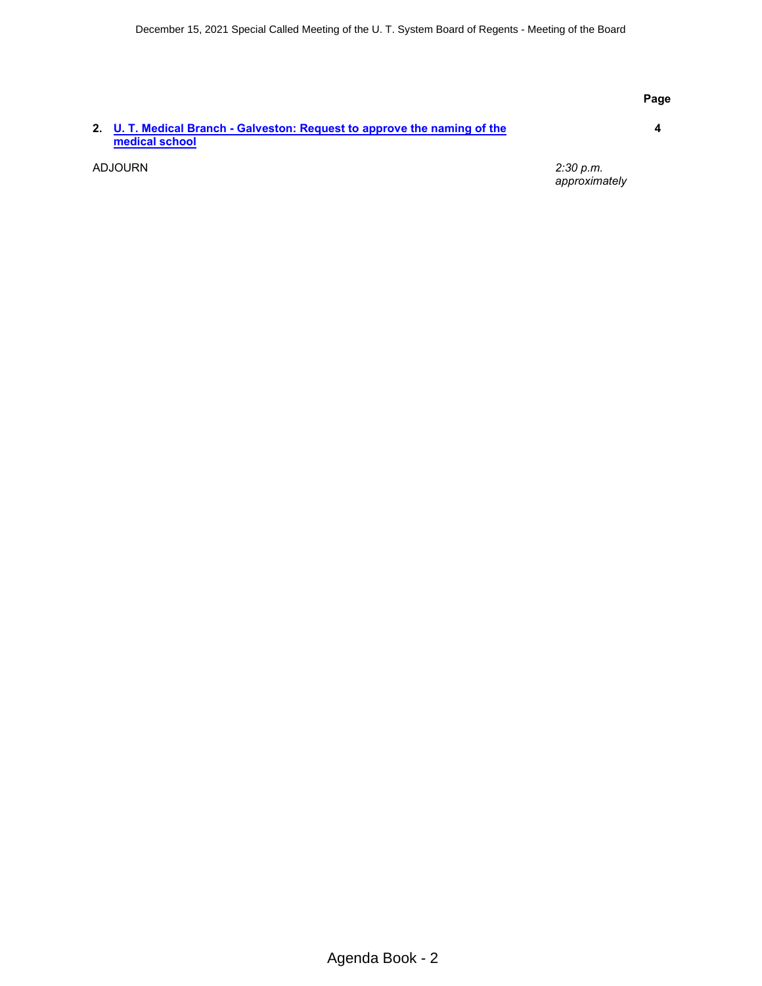#### **Page**

#### **2. [U. T. Medical Branch - Galveston: Request to approve the naming of the](#page-3-0) [medical school](#page-3-0)**

**4**

ADJOURN *2:30 p.m. approximately*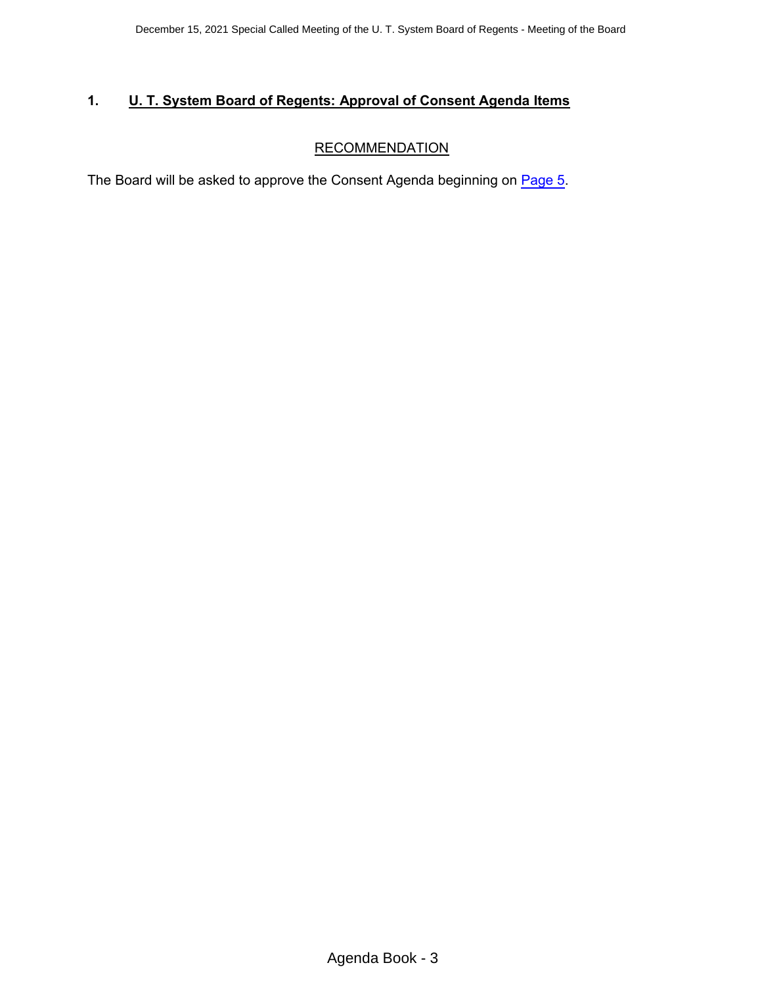# <span id="page-2-0"></span>**1. U. T. System Board of Regents: Approval of Consent Agenda Items**

# **RECOMMENDATION**

The Board will be asked to approve the Consent Agenda beginning on [Page](#page-4-0) 5.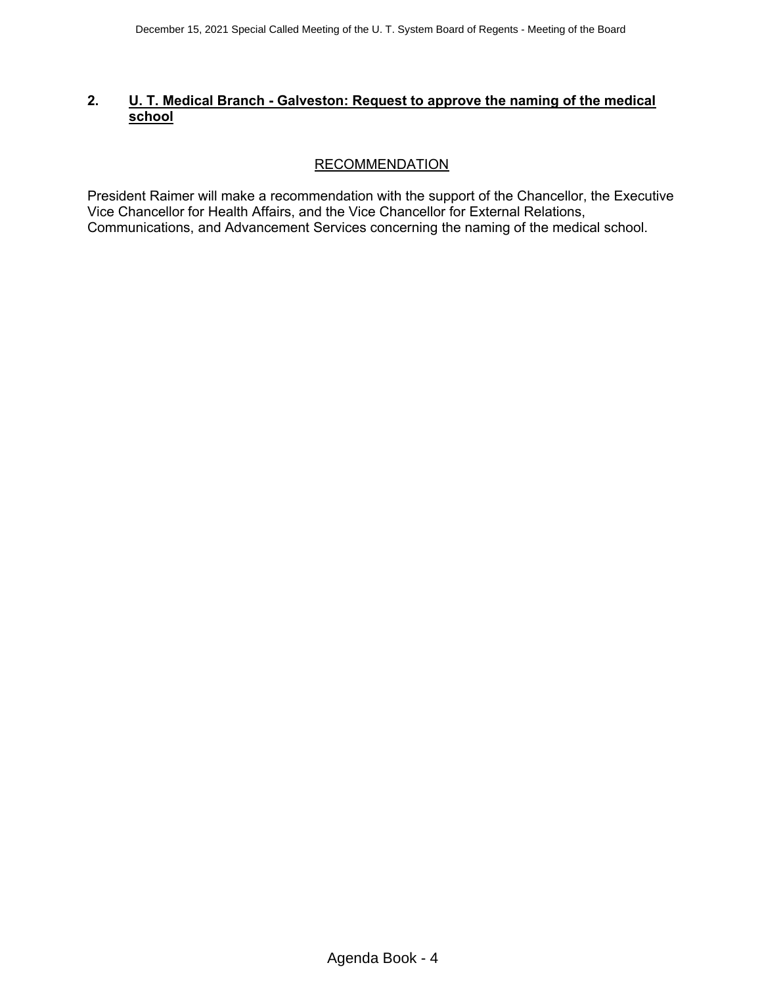# <span id="page-3-0"></span>**2. U. T. Medical Branch - Galveston: Request to approve the naming of the medical school**

# RECOMMENDATION

President Raimer will make a recommendation with the support of the Chancellor, the Executive Vice Chancellor for Health Affairs, and the Vice Chancellor for External Relations, Communications, and Advancement Services concerning the naming of the medical school.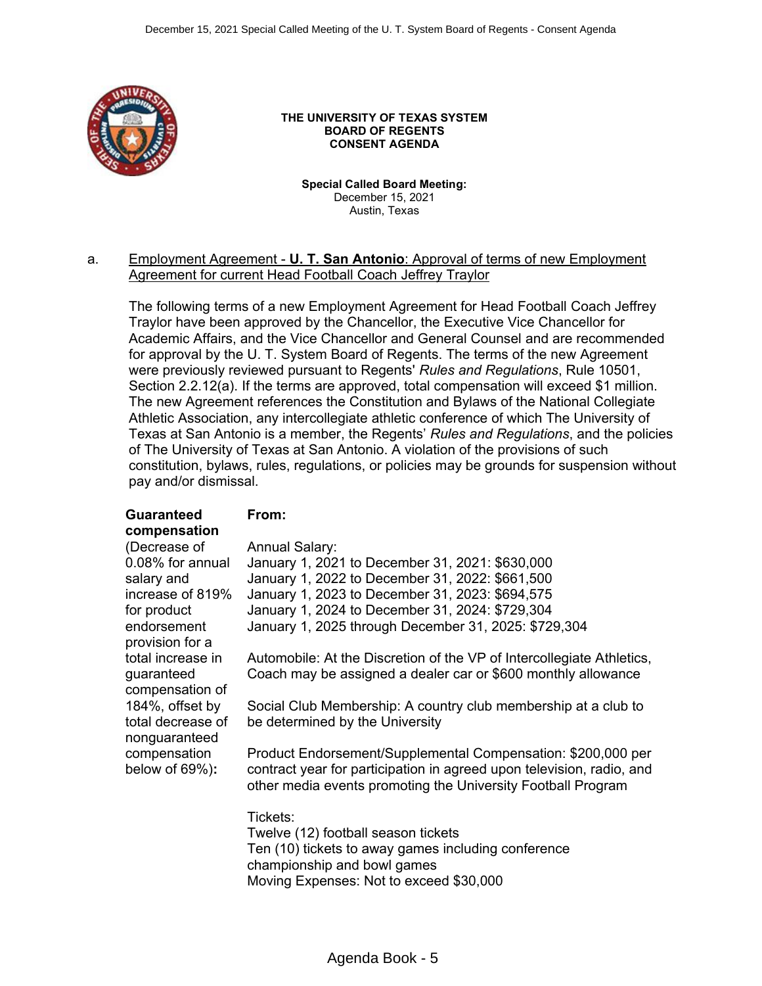<span id="page-4-0"></span>

#### **THE UNIVERSITY OF TEXAS SYSTEM BOARD OF REGENTS CONSENT AGENDA**

**Special Called Board Meeting:**  December 15, 2021 Austin, Texas

### a. Employment Agreement - **U. T. San Antonio**: Approval of terms of new Employment Agreement for current Head Football Coach Jeffrey Traylor

The following terms of a new Employment Agreement for Head Football Coach Jeffrey Traylor have been approved by the Chancellor, the Executive Vice Chancellor for Academic Affairs, and the Vice Chancellor and General Counsel and are recommended for approval by the U. T. System Board of Regents. The terms of the new Agreement were previously reviewed pursuant to Regents' *Rules and Regulations*, Rule 10501, Section 2.2.12(a). If the terms are approved, total compensation will exceed \$1 million. The new Agreement references the Constitution and Bylaws of the National Collegiate Athletic Association, any intercollegiate athletic conference of which The University of Texas at San Antonio is a member, the Regents' *Rules and Regulations*, and the policies of The University of Texas at San Antonio. A violation of the provisions of such constitution, bylaws, rules, regulations, or policies may be grounds for suspension without pay and/or dismissal.

#### **Guaranteed compensation**

### **From:**

| (Decrease of                                          | <b>Annual Salary:</b>                                                                                                                                                                                 |
|-------------------------------------------------------|-------------------------------------------------------------------------------------------------------------------------------------------------------------------------------------------------------|
| 0.08% for annual                                      | January 1, 2021 to December 31, 2021: \$630,000                                                                                                                                                       |
| salary and                                            | January 1, 2022 to December 31, 2022: \$661,500                                                                                                                                                       |
| increase of 819%                                      | January 1, 2023 to December 31, 2023: \$694,575                                                                                                                                                       |
| for product                                           | January 1, 2024 to December 31, 2024: \$729,304                                                                                                                                                       |
| endorsement<br>provision for a                        | January 1, 2025 through December 31, 2025: \$729,304                                                                                                                                                  |
| total increase in<br>guaranteed<br>compensation of    | Automobile: At the Discretion of the VP of Intercollegiate Athletics,<br>Coach may be assigned a dealer car or \$600 monthly allowance                                                                |
| 184%, offset by<br>total decrease of<br>nonguaranteed | Social Club Membership: A country club membership at a club to<br>be determined by the University                                                                                                     |
| compensation<br>below of 69%):                        | Product Endorsement/Supplemental Compensation: \$200,000 per<br>contract year for participation in agreed upon television, radio, and<br>other media events promoting the University Football Program |
|                                                       | Tickets:<br>Twelve (12) football season tickets<br>Ten (10) tickets to away games including conference<br>championship and bowl games<br>Moving Expenses: Not to exceed \$30,000                      |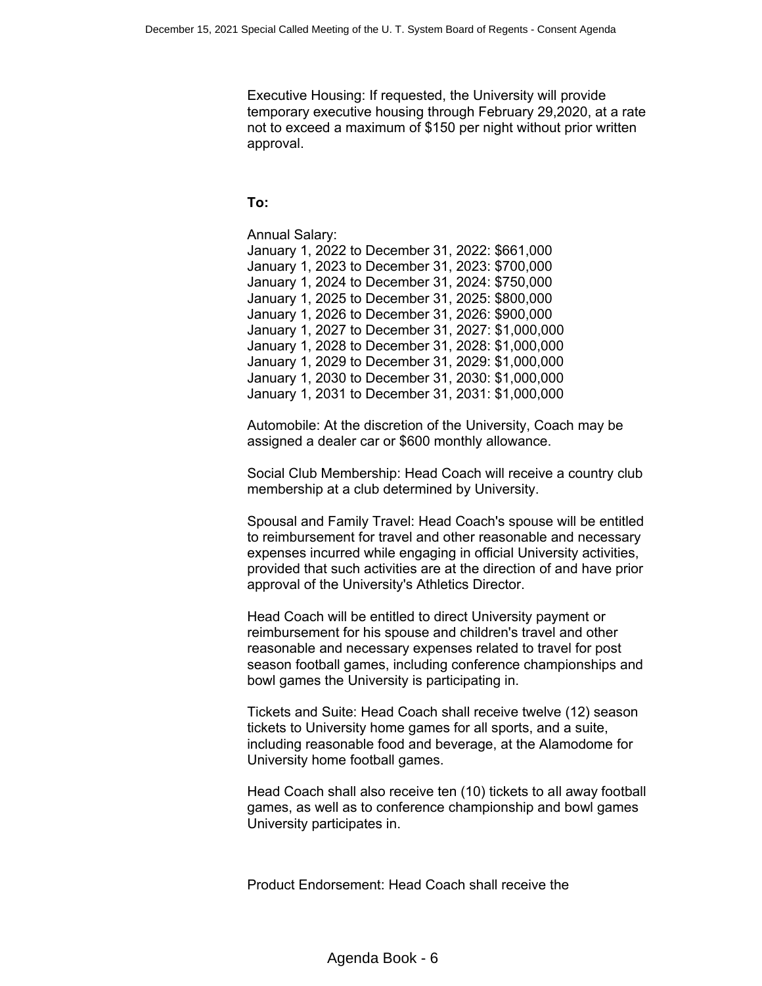Executive Housing: If requested, the University will provide temporary executive housing through February 29,2020, at a rate not to exceed a maximum of \$150 per night without prior written approval.

# **To:**

Annual Salary: January 1, 2022 to December 31, 2022: \$661,000 January 1, 2023 to December 31, 2023: \$700,000 January 1, 2024 to December 31, 2024: \$750,000 January 1, 2025 to December 31, 2025: \$800,000 January 1, 2026 to December 31, 2026: \$900,000 January 1, 2027 to December 31, 2027: \$1,000,000 January 1, 2028 to December 31, 2028: \$1,000,000 January 1, 2029 to December 31, 2029: \$1,000,000 January 1, 2030 to December 31, 2030: \$1,000,000 January 1, 2031 to December 31, 2031: \$1,000,000

Automobile: At the discretion of the University, Coach may be assigned a dealer car or \$600 monthly allowance.

Social Club Membership: Head Coach will receive a country club membership at a club determined by University.

Spousal and Family Travel: Head Coach's spouse will be entitled to reimbursement for travel and other reasonable and necessary expenses incurred while engaging in official University activities, provided that such activities are at the direction of and have prior approval of the University's Athletics Director.

Head Coach will be entitled to direct University payment or reimbursement for his spouse and children's travel and other reasonable and necessary expenses related to travel for post season football games, including conference championships and bowl games the University is participating in.

Tickets and Suite: Head Coach shall receive twelve (12) season tickets to University home games for all sports, and a suite, including reasonable food and beverage, at the Alamodome for University home football games.

Head Coach shall also receive ten (10) tickets to all away football games, as well as to conference championship and bowl games University participates in.

Product Endorsement: Head Coach shall receive the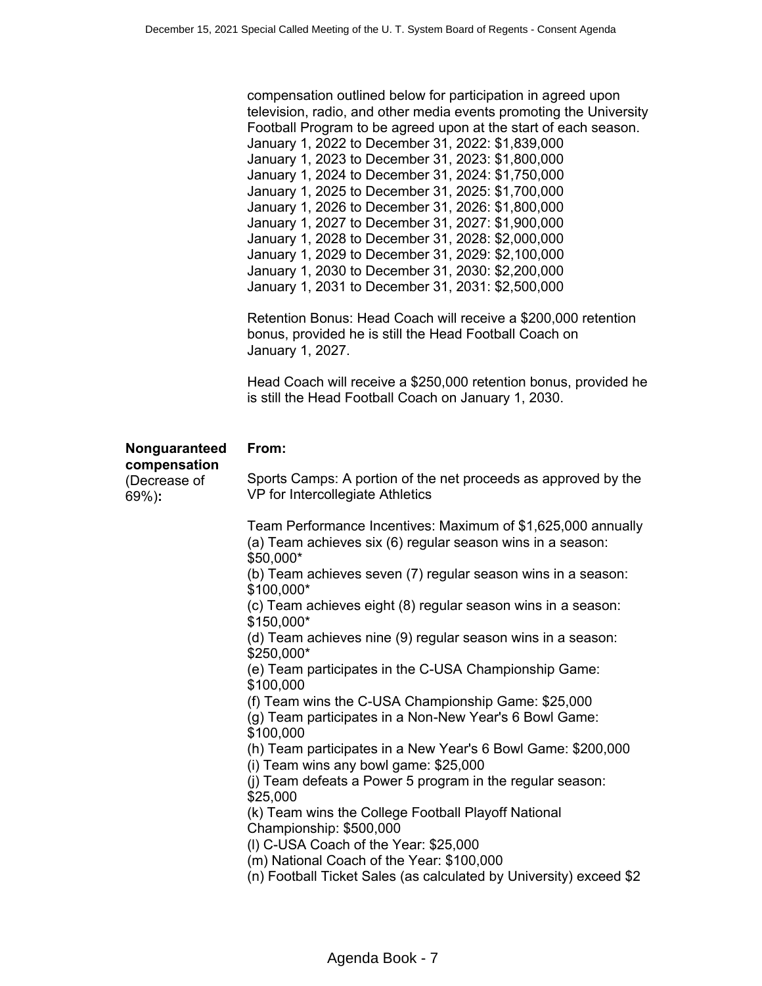|                                                        | compensation outlined below for participation in agreed upon<br>television, radio, and other media events promoting the University<br>Football Program to be agreed upon at the start of each season.<br>January 1, 2022 to December 31, 2022: \$1,839,000<br>January 1, 2023 to December 31, 2023: \$1,800,000<br>January 1, 2024 to December 31, 2024: \$1,750,000<br>January 1, 2025 to December 31, 2025: \$1,700,000<br>January 1, 2026 to December 31, 2026: \$1,800,000<br>January 1, 2027 to December 31, 2027: \$1,900,000<br>January 1, 2028 to December 31, 2028: \$2,000,000<br>January 1, 2029 to December 31, 2029: \$2,100,000<br>January 1, 2030 to December 31, 2030: \$2,200,000<br>January 1, 2031 to December 31, 2031: \$2,500,000<br>Retention Bonus: Head Coach will receive a \$200,000 retention<br>bonus, provided he is still the Head Football Coach on<br>January 1, 2027.<br>Head Coach will receive a \$250,000 retention bonus, provided he<br>is still the Head Football Coach on January 1, 2030. |
|--------------------------------------------------------|-------------------------------------------------------------------------------------------------------------------------------------------------------------------------------------------------------------------------------------------------------------------------------------------------------------------------------------------------------------------------------------------------------------------------------------------------------------------------------------------------------------------------------------------------------------------------------------------------------------------------------------------------------------------------------------------------------------------------------------------------------------------------------------------------------------------------------------------------------------------------------------------------------------------------------------------------------------------------------------------------------------------------------------|
| Nonguaranteed<br>compensation<br>(Decrease of<br>69%): | From:<br>Sports Camps: A portion of the net proceeds as approved by the<br>VP for Intercollegiate Athletics                                                                                                                                                                                                                                                                                                                                                                                                                                                                                                                                                                                                                                                                                                                                                                                                                                                                                                                         |
|                                                        | Team Performance Incentives: Maximum of \$1,625,000 annually<br>(a) Team achieves six (6) regular season wins in a season:<br>\$50,000*<br>(b) Team achieves seven (7) regular season wins in a season:<br>\$100,000*<br>(c) Team achieves eight (8) regular season wins in a season:<br>\$150,000*<br>(d) Team achieves nine (9) regular season wins in a season:<br>\$250,000*<br>(e) Team participates in the C-USA Championship Game:<br>\$100,000<br>(f) Team wins the C-USA Championship Game: \$25,000<br>(g) Team participates in a Non-New Year's 6 Bowl Game:<br>\$100,000<br>(h) Team participates in a New Year's 6 Bowl Game: \$200,000<br>(i) Team wins any bowl game: \$25,000<br>(i) Team defeats a Power 5 program in the regular season:<br>\$25,000<br>(k) Team wins the College Football Playoff National<br>Championship: \$500,000<br>(I) C-USA Coach of the Year: \$25,000<br>(m) National Coach of the Year: \$100,000<br>(n) Football Ticket Sales (as calculated by University) exceed \$2                |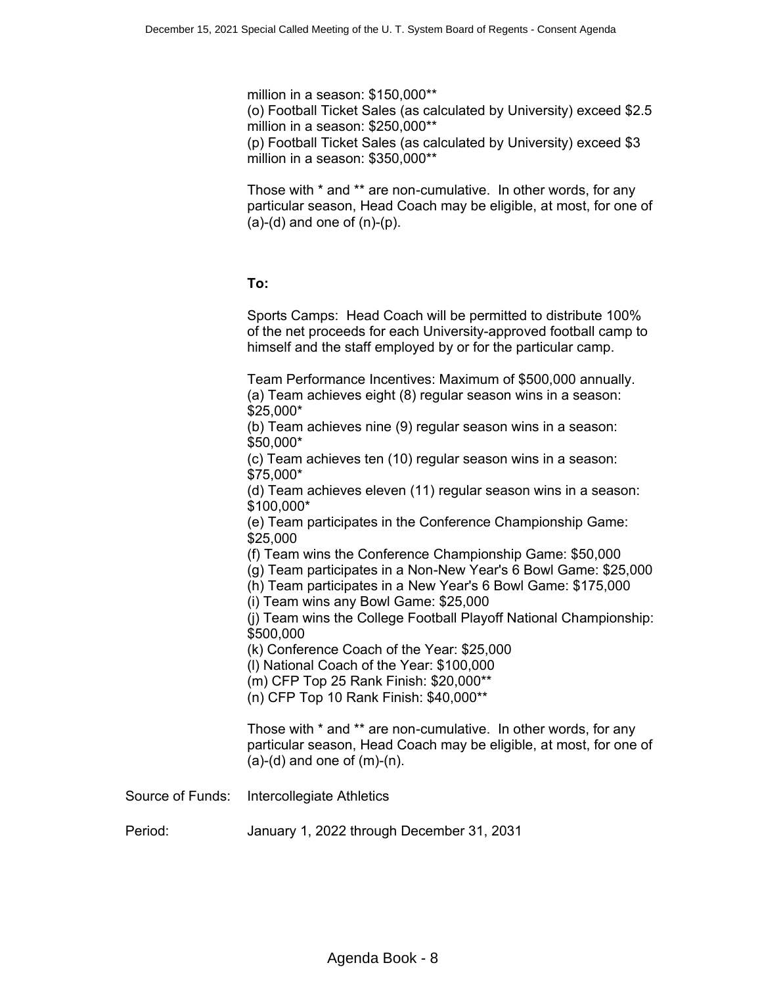million in a season: \$150,000\*\*

(o) Football Ticket Sales (as calculated by University) exceed \$2.5 million in a season: \$250,000\*\*

(p) Football Ticket Sales (as calculated by University) exceed \$3 million in a season: \$350,000\*\*

Those with \* and \*\* are non-cumulative. In other words, for any particular season, Head Coach may be eligible, at most, for one of  $(a)-(d)$  and one of  $(n)-(p)$ .

### **To:**

Sports Camps: Head Coach will be permitted to distribute 100% of the net proceeds for each University-approved football camp to himself and the staff employed by or for the particular camp.

Team Performance Incentives: Maximum of \$500,000 annually. (a) Team achieves eight (8) regular season wins in a season: \$25,000\*

(b) Team achieves nine (9) regular season wins in a season: \$50,000\*

(c) Team achieves ten (10) regular season wins in a season: \$75,000\*

(d) Team achieves eleven (11) regular season wins in a season: \$100,000\*

(e) Team participates in the Conference Championship Game: \$25,000

(f) Team wins the Conference Championship Game: \$50,000

(g) Team participates in a Non-New Year's 6 Bowl Game: \$25,000

(h) Team participates in a New Year's 6 Bowl Game: \$175,000

(i) Team wins any Bowl Game: \$25,000

(j) Team wins the College Football Playoff National Championship: \$500,000

(k) Conference Coach of the Year: \$25,000

(l) National Coach of the Year: \$100,000

(m) CFP Top 25 Rank Finish: \$20,000\*\*

(n) CFP Top 10 Rank Finish: \$40,000\*\*

Those with \* and \*\* are non-cumulative. In other words, for any particular season, Head Coach may be eligible, at most, for one of  $(a)-(d)$  and one of  $(m)-(n)$ .

Source of Funds: Intercollegiate Athletics

Period: January 1, 2022 through December 31, 2031